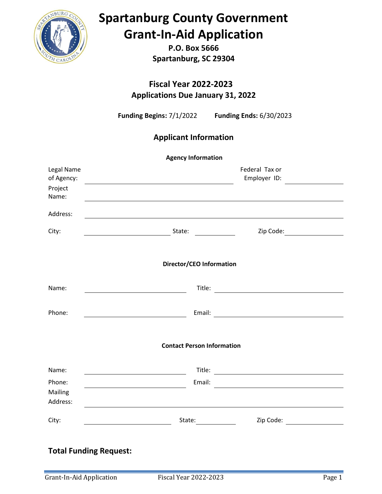

**P.O. Box 5666 Spartanburg, SC 29304**

**Fiscal Year 2022-2023 Applications Due January 31, 2022**

**Funding Begins:** 7/1/2022 **Funding Ends:** 6/30/2023

### **Applicant Information**

| <b>Agency Information</b>                    |                                                                                                                                                                                                                                                                                                                                                                                                              |                                                                                                     |  |  |  |
|----------------------------------------------|--------------------------------------------------------------------------------------------------------------------------------------------------------------------------------------------------------------------------------------------------------------------------------------------------------------------------------------------------------------------------------------------------------------|-----------------------------------------------------------------------------------------------------|--|--|--|
| Legal Name<br>of Agency:<br>Project<br>Name: | <u> 1989 - Johann Harry Harry Harry Harry Harry Harry Harry Harry Harry Harry Harry Harry Harry Harry Harry Harry</u>                                                                                                                                                                                                                                                                                        | Federal Tax or<br>Employer ID:                                                                      |  |  |  |
| Address:                                     |                                                                                                                                                                                                                                                                                                                                                                                                              |                                                                                                     |  |  |  |
| City:                                        | State: $\frac{1}{\sqrt{1-\frac{1}{2}}\sqrt{1-\frac{1}{2}}\sqrt{1-\frac{1}{2}}\sqrt{1-\frac{1}{2}}\sqrt{1-\frac{1}{2}}\sqrt{1-\frac{1}{2}}\sqrt{1-\frac{1}{2}}\sqrt{1-\frac{1}{2}}\sqrt{1-\frac{1}{2}}\sqrt{1-\frac{1}{2}}\sqrt{1-\frac{1}{2}}\sqrt{1-\frac{1}{2}}\sqrt{1-\frac{1}{2}}\sqrt{1-\frac{1}{2}}\sqrt{1-\frac{1}{2}}\sqrt{1-\frac{1}{2}}\sqrt{1-\frac{1}{2}}\sqrt{1-\frac{1}{2}}\sqrt{1-\frac{1}{2$ | Zip Code: __________________                                                                        |  |  |  |
|                                              | Director/CEO Information                                                                                                                                                                                                                                                                                                                                                                                     |                                                                                                     |  |  |  |
| Name:                                        | <u> 1989 - Johann Barnett, fransk politik (</u>                                                                                                                                                                                                                                                                                                                                                              | Title: <u>www.community.community.community.com</u>                                                 |  |  |  |
| Phone:                                       | <u> 1989 - Johann Barbara, martxa a</u>                                                                                                                                                                                                                                                                                                                                                                      | Email: Note: Note: Note: Note: Note: Note: Note: Note: Note: Note: Note: Note: Note: Note: Note: No |  |  |  |
|                                              | <b>Contact Person Information</b>                                                                                                                                                                                                                                                                                                                                                                            |                                                                                                     |  |  |  |
| Name:                                        | <u> 1989 - Johann Barnett, fransk politiker (</u>                                                                                                                                                                                                                                                                                                                                                            |                                                                                                     |  |  |  |
| Phone:<br>Mailing<br>Address:                |                                                                                                                                                                                                                                                                                                                                                                                                              |                                                                                                     |  |  |  |
| City:                                        | State: 1<br><u> 1980 - Johann Barbara, martxa a</u>                                                                                                                                                                                                                                                                                                                                                          | Zip Code: <u>__________________</u>                                                                 |  |  |  |
| <b>Total Funding Request:</b>                |                                                                                                                                                                                                                                                                                                                                                                                                              |                                                                                                     |  |  |  |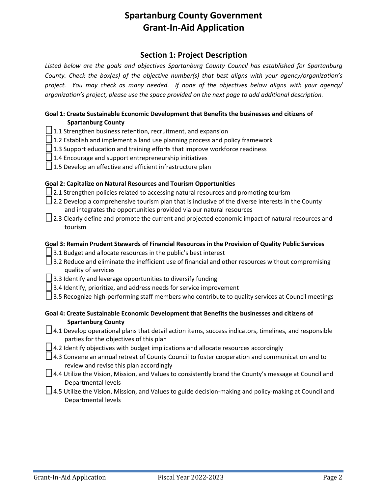#### **Section 1: Project Description**

*Listed below are the goals and objectives Spartanburg County Council has established for Spartanburg County. Check the box(es) of the objective number(s) that best aligns with your agency/organization's project. You may check as many needed. If none of the objectives below aligns with your agency/ organization's project, please use the space provided on the next page to add additional description.*

#### **Goal 1: Create Sustainable Economic Development that Benefits the businesses and citizens of Spartanburg County**

- $\Box$ 1.1 Strengthen business retention, recruitment, and expansion
- $\Box$  1.2 Establish and implement a land use planning process and policy framework
- $\Box$  1.3 Support education and training efforts that improve workforce readiness
- $\Box$  1.4 Encourage and support entrepreneurship initiatives
- $\Box$  1.5 Develop an effective and efficient infrastructure plan

#### **Goal 2: Capitalize on Natural Resources and Tourism Opportunities**

- $\Box$  2.1 Strengthen policies related to accessing natural resources and promoting tourism
- $\Box$  2.2 Develop a comprehensive tourism plan that is inclusive of the diverse interests in the County and integrates the opportunities provided via our natural resources
- $\Box$  2.3 Clearly define and promote the current and projected economic impact of natural resources and tourism

#### **Goal 3: Remain Prudent Stewards of Financial Resources in the Provision of Quality Public Services**

- $\Box$  3.1 Budget and allocate resources in the public's best interest
- □3.2 Reduce and eliminate the inefficient use of financial and other resources without compromising quality of services
- $\Box$  3.3 Identify and leverage opportunities to diversify funding
- $\Box$ 3.4 Identify, prioritize, and address needs for service improvement
- $\Box$ 3.5 Recognize high-performing staff members who contribute to quality services at Council meetings

#### **Goal 4: Create Sustainable Economic Development that Benefits the businesses and citizens of Spartanburg County**

- $\Box$ 4.1 Develop operational plans that detail action items, success indicators, timelines, and responsible parties for the objectives of this plan
- $\Box$  4.2 Identify objectives with budget implications and allocate resources accordingly
- □ 4.3 Convene an annual retreat of County Council to foster cooperation and communication and to review and revise this plan accordingly
- $\Box$  4.4 Utilize the Vision, Mission, and Values to consistently brand the County's message at Council and Departmental levels
- □4.5 Utilize the Vision, Mission, and Values to guide decision-making and policy-making at Council and Departmental levels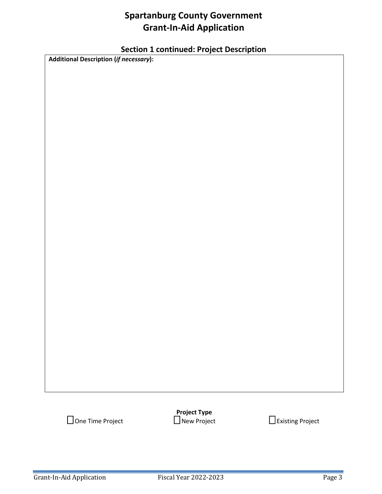### **Section 1 continued: Project Description**

**Additional Description (***if necessary***):**

**Project Type**<br>
New Project ☐ One Time Project ☐ New Project ☐ Existing Project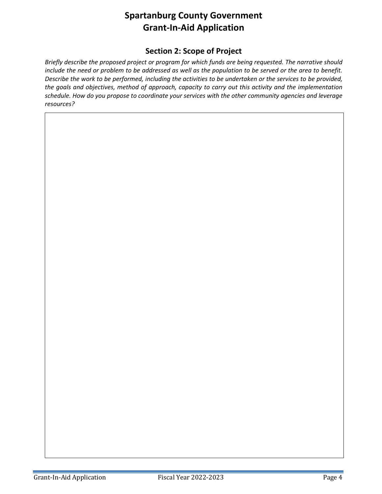### **Section 2: Scope of Project**

*Briefly describe the proposed project or program for which funds are being requested. The narrative should include the need or problem to be addressed as well as the population to be served or the area to benefit. Describe the work to be performed, including the activities to be undertaken or the services to be provided, the goals and objectives, method of approach, capacity to carry out this activity and the implementation schedule. How do you propose to coordinate your services with the other community agencies and leverage resources?*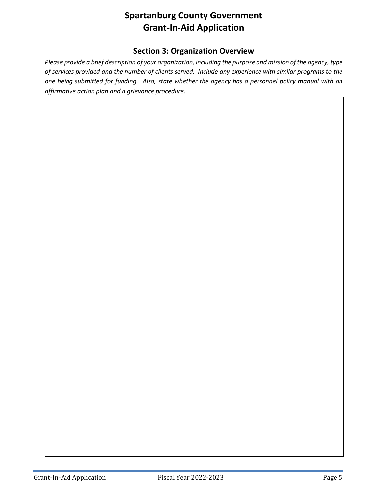### **Section 3: Organization Overview**

*Please provide a brief description of your organization, including the purpose and mission of the agency, type of services provided and the number of clients served. Include any experience with similar programs to the one being submitted for funding. Also, state whether the agency has a personnel policy manual with an affirmative action plan and a grievance procedure.*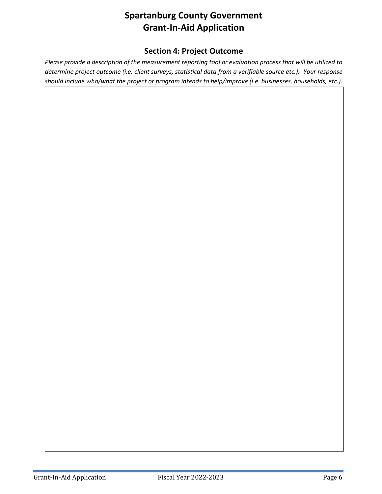### **Section 4: Project Outcome**

*Please provide a description of the measurement reporting tool or evaluation process that will be utilized to determine project outcome (i.e. client surveys, statistical data from a verifiable source etc.). Your response should include who/what the project or program intends to help/improve (i.e. businesses, households, etc.).*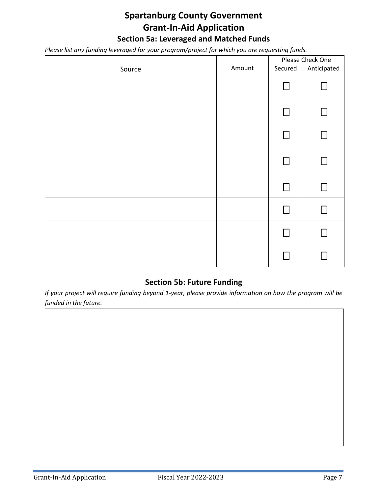### **Spartanburg County Government Grant-In-Aid Application Section 5a: Leveraged and Matched Funds**

*Please list any funding leveraged for your program/project for which you are requesting funds.*

|        |        |         | Please Check One |  |
|--------|--------|---------|------------------|--|
| Source | Amount | Secured | Anticipated      |  |
|        |        | П       |                  |  |
|        |        | П       |                  |  |
|        |        | П       |                  |  |
|        |        | ΙI      |                  |  |
|        |        |         |                  |  |
|        |        |         |                  |  |
|        |        |         |                  |  |
|        |        |         |                  |  |

### **Section 5b: Future Funding**

*If your project will require funding beyond 1-year, please provide information on how the program will be funded in the future.*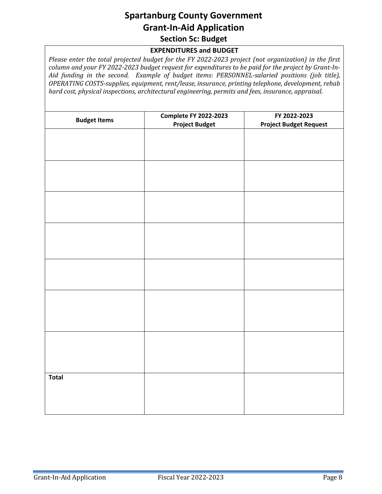### **Spartanburg County Government Grant-In-Aid Application Section 5c: Budget**

#### **EXPENDITURES and BUDGET**

*Please enter the total projected budget for the FY 2022-2023 project (not organization) in the first column and your FY 2022-2023 budget request for expenditures to be paid for the project by Grant-In-Aid funding in the second. Example of budget items: PERSONNEL-salaried positions (job title), OPERATING COSTS-supplies, equipment, rent/lease, insurance, printing telephone, development, rehab hard cost, physical inspections, architectural engineering, permits and fees, insurance, appraisal.*

| <b>Budget Items</b> | <b>Complete FY 2022-2023</b><br><b>Project Budget</b> | FY 2022-2023<br><b>Project Budget Request</b> |
|---------------------|-------------------------------------------------------|-----------------------------------------------|
|                     |                                                       |                                               |
|                     |                                                       |                                               |
|                     |                                                       |                                               |
|                     |                                                       |                                               |
|                     |                                                       |                                               |
|                     |                                                       |                                               |
|                     |                                                       |                                               |
|                     |                                                       |                                               |
|                     |                                                       |                                               |
|                     |                                                       |                                               |
|                     |                                                       |                                               |
|                     |                                                       |                                               |
|                     |                                                       |                                               |
|                     |                                                       |                                               |
| <b>Total</b>        |                                                       |                                               |
|                     |                                                       |                                               |
|                     |                                                       |                                               |